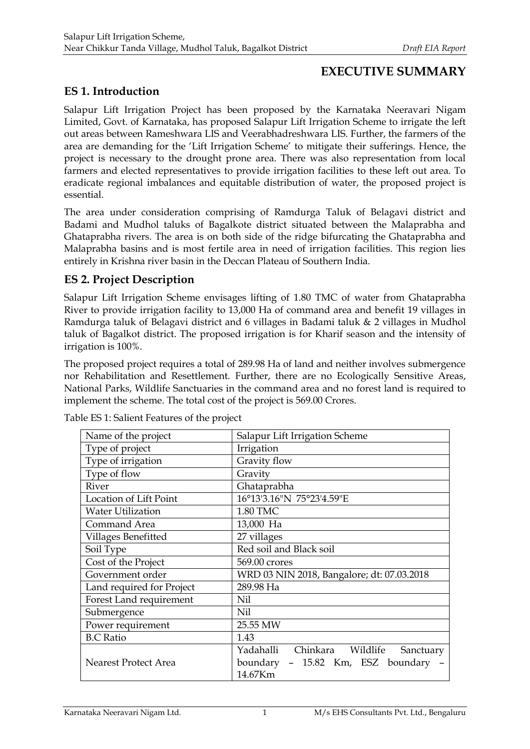# **EXECUTIVE SUMMARY**

# **ES 1. Introduction**

Salapur Lift Irrigation Project has been proposed by the Karnataka Neeravari Nigam Limited, Govt. of Karnataka, has proposed Salapur Lift Irrigation Scheme to irrigate the left out areas between Rameshwara LIS and Veerabhadreshwara LIS. Further, the farmers of the area are demanding for the 'Lift Irrigation Scheme' to mitigate their sufferings. Hence, the project is necessary to the drought prone area. There was also representation from local farmers and elected representatives to provide irrigation facilities to these left out area. To eradicate regional imbalances and equitable distribution of water, the proposed project is essential.

The area under consideration comprising of Ramdurga Taluk of Belagavi district and Badami and Mudhol taluks of Bagalkote district situated between the Malaprabha and Ghataprabha rivers. The area is on both side of the ridge bifurcating the Ghataprabha and Malaprabha basins and is most fertile area in need of irrigation facilities. This region lies entirely in Krishna river basin in the Deccan Plateau of Southern India.

# **ES 2. Project Description**

Salapur Lift Irrigation Scheme envisages lifting of 1.80 TMC of water from Ghataprabha River to provide irrigation facility to 13,000 Ha of command area and benefit 19 villages in Ramdurga taluk of Belagavi district and 6 villages in Badami taluk & 2 villages in Mudhol taluk of Bagalkot district. The proposed irrigation is for Kharif season and the intensity of irrigation is 100%.

The proposed project requires a total of 289.98 Ha of land and neither involves submergence nor Rehabilitation and Resettlement. Further, there are no Ecologically Sensitive Areas, National Parks, Wildlife Sanctuaries in the command area and no forest land is required to implement the scheme. The total cost of the project is 569.00 Crores.

| Name of the project         | Salapur Lift Irrigation Scheme             |  |  |
|-----------------------------|--------------------------------------------|--|--|
| Type of project             | Irrigation                                 |  |  |
| Type of irrigation          | Gravity flow                               |  |  |
| Type of flow                | Gravity                                    |  |  |
| River                       | Ghataprabha                                |  |  |
| Location of Lift Point      | 16°13'3.16"N 75°23'4.59"E                  |  |  |
| <b>Water Utilization</b>    | 1.80 TMC                                   |  |  |
| Command Area                | 13,000 Ha                                  |  |  |
| Villages Benefitted         | 27 villages                                |  |  |
| Soil Type                   | Red soil and Black soil                    |  |  |
| Cost of the Project         | 569.00 crores                              |  |  |
| Government order            | WRD 03 NIN 2018, Bangalore; dt: 07.03.2018 |  |  |
| Land required for Project   | 289.98 Ha                                  |  |  |
| Forest Land requirement     | Nil                                        |  |  |
| Submergence                 | Nil                                        |  |  |
| Power requirement           | 25.55 MW                                   |  |  |
| <b>B.C Ratio</b>            | 1.43                                       |  |  |
|                             | Yadahalli Chinkara Wildlife<br>Sanctuary   |  |  |
| <b>Nearest Protect Area</b> | boundary - 15.82 Km, ESZ boundary          |  |  |
|                             | 14.67Km                                    |  |  |

Table ES 1: Salient Features of the project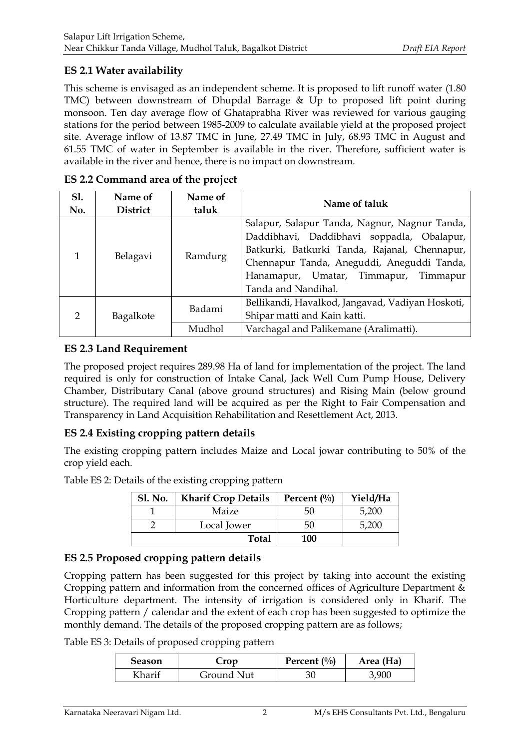## **ES 2.1 Water availability**

This scheme is envisaged as an independent scheme. It is proposed to lift runoff water (1.80 TMC) between downstream of Dhupdal Barrage & Up to proposed lift point during monsoon. Ten day average flow of Ghataprabha River was reviewed for various gauging stations for the period between 1985-2009 to calculate available yield at the proposed project site. Average inflow of 13.87 TMC in June, 27.49 TMC in July, 68.93 TMC in August and 61.55 TMC of water in September is available in the river. Therefore, sufficient water is available in the river and hence, there is no impact on downstream.

| <b>S1.</b>    | Name of   | Name of | Name of taluk                                    |  |
|---------------|-----------|---------|--------------------------------------------------|--|
| No.           | District  | taluk   |                                                  |  |
|               |           |         | Salapur, Salapur Tanda, Nagnur, Nagnur Tanda,    |  |
|               |           |         | Daddibhavi, Daddibhavi soppadla, Obalapur,       |  |
| 1             | Belagavi  | Ramdurg | Batkurki, Batkurki Tanda, Rajanal, Chennapur,    |  |
|               |           |         | Chennapur Tanda, Aneguddi, Aneguddi Tanda,       |  |
|               |           |         | Hanamapur, Umatar, Timmapur, Timmapur            |  |
|               |           |         | Tanda and Nandihal.                              |  |
|               |           | Badami  | Bellikandi, Havalkod, Jangavad, Vadiyan Hoskoti, |  |
| $\mathcal{P}$ | Bagalkote |         | Shipar matti and Kain katti.                     |  |
|               |           | Mudhol  | Varchagal and Palikemane (Aralimatti).           |  |

**ES 2.2 Command area of the project**

### **ES 2.3 Land Requirement**

The proposed project requires 289.98 Ha of land for implementation of the project. The land required is only for construction of Intake Canal, Jack Well Cum Pump House, Delivery Chamber, Distributary Canal (above ground structures) and Rising Main (below ground structure). The required land will be acquired as per the Right to Fair Compensation and Transparency in Land Acquisition Rehabilitation and Resettlement Act, 2013.

# **ES 2.4 Existing cropping pattern details**

The existing cropping pattern includes Maize and Local jowar contributing to 50% of the crop yield each.

Table ES 2: Details of the existing cropping pattern

| <b>Sl. No.</b> | <b>Kharif Crop Details</b> | Percent $\left(\frac{0}{0}\right)$ | Yield/Ha |
|----------------|----------------------------|------------------------------------|----------|
|                | Maize                      | 50                                 | 5,200    |
|                | Local Jower                | 50                                 | 5,200    |
|                | <b>Total</b>               | <b>100</b>                         |          |

# **ES 2.5 Proposed cropping pattern details**

Cropping pattern has been suggested for this project by taking into account the existing Cropping pattern and information from the concerned offices of Agriculture Department & Horticulture department. The intensity of irrigation is considered only in Kharif. The Cropping pattern / calendar and the extent of each crop has been suggested to optimize the monthly demand. The details of the proposed cropping pattern are as follows;

Table ES 3: Details of proposed cropping pattern

| <b>Season</b> | Crop       | Percent $\left(\frac{0}{0}\right)$ | Area (Ha) |
|---------------|------------|------------------------------------|-----------|
| Kharif        | Ground Nut |                                    | 3.900     |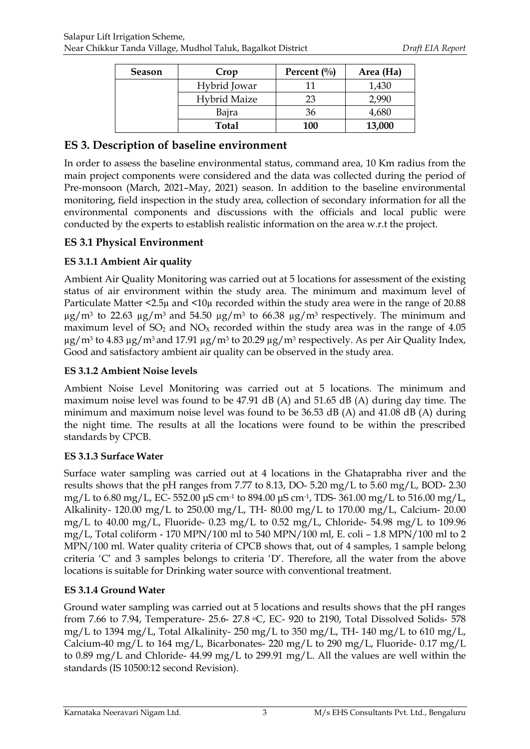| <b>Season</b> | Crop                | Percent $\left(\frac{0}{0}\right)$ | Area (Ha) |
|---------------|---------------------|------------------------------------|-----------|
|               | Hybrid Jowar        | 11                                 | 1,430     |
|               | <b>Hybrid Maize</b> | 23                                 | 2,990     |
|               | Bajra               | 36                                 | 4,680     |
|               | Total               | 100                                | 13,000    |

## **ES 3. Description of baseline environment**

In order to assess the baseline environmental status, command area, 10 Km radius from the main project components were considered and the data was collected during the period of Pre-monsoon (March, 2021–May, 2021) season. In addition to the baseline environmental monitoring, field inspection in the study area, collection of secondary information for all the environmental components and discussions with the officials and local public were conducted by the experts to establish realistic information on the area w.r.t the project.

#### **ES 3.1 Physical Environment**

#### **ES 3.1.1 Ambient Air quality**

Ambient Air Quality Monitoring was carried out at 5 locations for assessment of the existing status of air environment within the study area. The minimum and maximum level of Particulate Matter <2.5µ and <10µ recorded within the study area were in the range of 20.88  $\mu$ g/m<sup>3</sup> to 22.63  $\mu$ g/m<sup>3</sup> and 54.50  $\mu$ g/m<sup>3</sup> to 66.38  $\mu$ g/m<sup>3</sup> respectively. The minimum and maximum level of  $SO_2$  and  $NO<sub>X</sub>$  recorded within the study area was in the range of 4.05  $\mu$ g/m<sup>3</sup> to 4.83  $\mu$ g/m<sup>3</sup> and 17.91  $\mu$ g/m<sup>3</sup> to 20.29  $\mu$ g/m<sup>3</sup> respectively. As per Air Quality Index, Good and satisfactory ambient air quality can be observed in the study area.

#### **ES 3.1.2 Ambient Noise levels**

Ambient Noise Level Monitoring was carried out at 5 locations. The minimum and maximum noise level was found to be 47.91 dB (A) and 51.65 dB (A) during day time. The minimum and maximum noise level was found to be 36.53 dB (A) and 41.08 dB (A) during the night time. The results at all the locations were found to be within the prescribed standards by CPCB.

#### **ES 3.1.3 Surface Water**

Surface water sampling was carried out at 4 locations in the Ghataprabha river and the results shows that the pH ranges from 7.77 to 8.13, DO- 5.20 mg/L to 5.60 mg/L, BOD- 2.30 mg/L to 6.80 mg/L, EC- 552.00 μS cm-1 to 894.00 μS cm-1, TDS- 361.00 mg/L to 516.00 mg/L, Alkalinity- 120.00 mg/L to 250.00 mg/L, TH- 80.00 mg/L to 170.00 mg/L, Calcium- 20.00 mg/L to 40.00 mg/L, Fluoride- 0.23 mg/L to 0.52 mg/L, Chloride- 54.98 mg/L to 109.96 mg/L, Total coliform - 170 MPN/100 ml to 540 MPN/100 ml, E. coli – 1.8 MPN/100 ml to 2 MPN/100 ml. Water quality criteria of CPCB shows that, out of 4 samples, 1 sample belong criteria 'C' and 3 samples belongs to criteria 'D'. Therefore, all the water from the above locations is suitable for Drinking water source with conventional treatment.

#### **ES 3.1.4 Ground Water**

Ground water sampling was carried out at 5 locations and results shows that the pH ranges from 7.66 to 7.94, Temperature- 25.6- 27.8 °C, EC- 920 to 2190, Total Dissolved Solids- 578 mg/L to 1394 mg/L, Total Alkalinity- 250 mg/L to 350 mg/L, TH- 140 mg/L to 610 mg/L, Calcium-40 mg/L to 164 mg/L, Bicarbonates- 220 mg/L to 290 mg/L, Fluoride- 0.17 mg/L to 0.89 mg/L and Chloride- 44.99 mg/L to 299.91 mg/L. All the values are well within the standards (IS 10500:12 second Revision).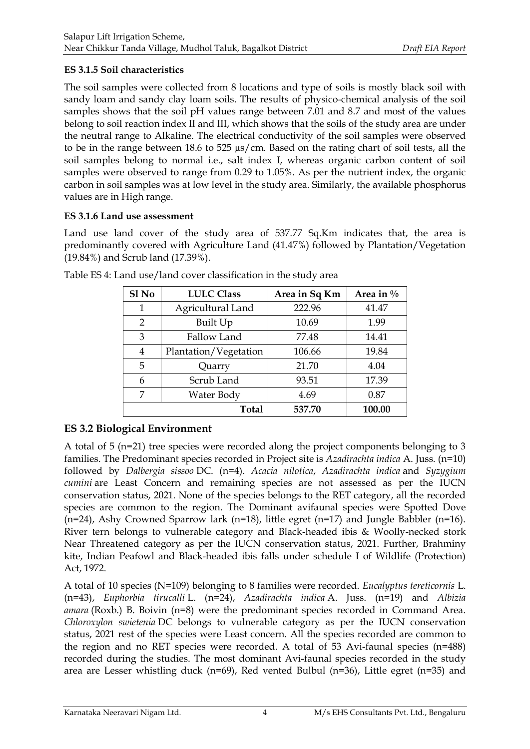### **ES 3.1.5 Soil characteristics**

The soil samples were collected from 8 locations and type of soils is mostly black soil with sandy loam and sandy clay loam soils. The results of physico-chemical analysis of the soil samples shows that the soil pH values range between 7.01 and 8.7 and most of the values belong to soil reaction index II and III, which shows that the soils of the study area are under the neutral range to Alkaline. The electrical conductivity of the soil samples were observed to be in the range between 18.6 to 525 µs/cm. Based on the rating chart of soil tests, all the soil samples belong to normal i.e., salt index I, whereas organic carbon content of soil samples were observed to range from 0.29 to 1.05%. As per the nutrient index, the organic carbon in soil samples was at low level in the study area. Similarly, the available phosphorus values are in High range.

#### **ES 3.1.6 Land use assessment**

Land use land cover of the study area of 537.77 Sq.Km indicates that, the area is predominantly covered with Agriculture Land (41.47%) followed by Plantation/Vegetation (19.84%) and Scrub land (17.39%).

| Sl <sub>No</sub> | <b>LULC Class</b>     | Area in Sq Km | Area in $\%$ |
|------------------|-----------------------|---------------|--------------|
| 1                | Agricultural Land     | 222.96        | 41.47        |
| $\overline{2}$   | Built Up              | 10.69         | 1.99         |
| 3                | Fallow Land           | 77.48         | 14.41        |
| 4                | Plantation/Vegetation | 106.66        | 19.84        |
| 5                | Quarry                | 21.70         | 4.04         |
| 6                | Scrub Land            | 93.51         | 17.39        |
| 7                | Water Body            | 4.69          | 0.87         |
|                  | Total                 | 537.70        | 100.00       |

Table ES 4: Land use/land cover classification in the study area

# **ES 3.2 Biological Environment**

A total of 5 (n=21) tree species were recorded along the project components belonging to 3 families. The Predominant species recorded in Project site is *Azadirachta indica* A. Juss. (n=10) followed by *Dalbergia sissoo* DC. (n=4). *Acacia nilotica*, *Azadirachta indica* and *Syzygium cumini* are Least Concern and remaining species are not assessed as per the IUCN conservation status, 2021. None of the species belongs to the RET category, all the recorded species are common to the region. The Dominant avifaunal species were Spotted Dove (n=24), Ashy Crowned Sparrow lark (n=18), little egret (n=17) and Jungle Babbler (n=16). River tern belongs to vulnerable category and Black-headed ibis & Woolly-necked stork Near Threatened category as per the IUCN conservation status, 2021. Further, Brahminy kite, Indian Peafowl and Black-headed ibis falls under schedule I of Wildlife (Protection) Act, 1972.

A total of 10 species (N=109) belonging to 8 families were recorded. *Eucalyptus tereticornis* L. (n=43), *Euphorbia tirucalli* L. (n=24), *Azadirachta indica* A. Juss. (n=19) and *Albizia amara* (Roxb.) B. Boivin (n=8) were the predominant species recorded in Command Area. *Chloroxylon swietenia* DC belongs to vulnerable category as per the IUCN conservation status, 2021 rest of the species were Least concern. All the species recorded are common to the region and no RET species were recorded. A total of 53 Avi-faunal species (n=488) recorded during the studies. The most dominant Avi-faunal species recorded in the study area are Lesser whistling duck (n=69), Red vented Bulbul (n=36), Little egret (n=35) and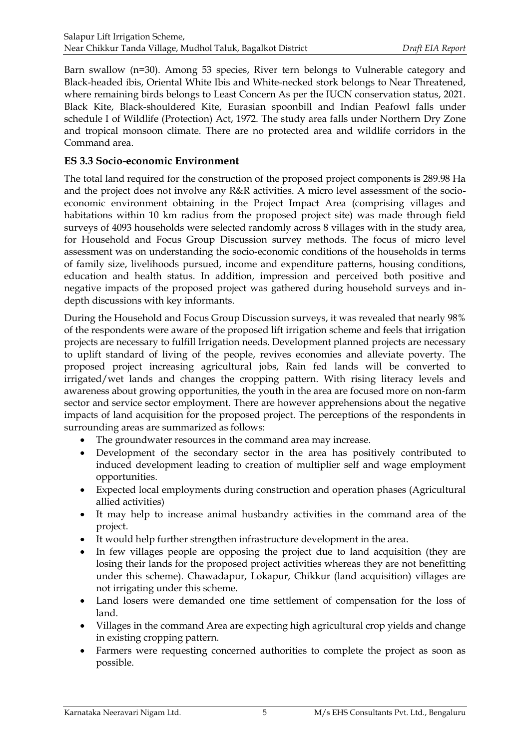Barn swallow (n=30). Among 53 species, River tern belongs to Vulnerable category and Black-headed ibis, Oriental White Ibis and White-necked stork belongs to Near Threatened, where remaining birds belongs to Least Concern As per the IUCN conservation status, 2021. Black Kite, Black-shouldered Kite, Eurasian spoonbill and Indian Peafowl falls under schedule I of Wildlife (Protection) Act, 1972. The study area falls under Northern Dry Zone and tropical monsoon climate. There are no protected area and wildlife corridors in the Command area.

## **ES 3.3 Socio-economic Environment**

The total land required for the construction of the proposed project components is 289.98 Ha and the project does not involve any R&R activities. A micro level assessment of the socioeconomic environment obtaining in the Project Impact Area (comprising villages and habitations within 10 km radius from the proposed project site) was made through field surveys of 4093 households were selected randomly across 8 villages with in the study area, for Household and Focus Group Discussion survey methods. The focus of micro level assessment was on understanding the socio-economic conditions of the households in terms of family size, livelihoods pursued, income and expenditure patterns, housing conditions, education and health status. In addition, impression and perceived both positive and negative impacts of the proposed project was gathered during household surveys and indepth discussions with key informants.

During the Household and Focus Group Discussion surveys, it was revealed that nearly 98% of the respondents were aware of the proposed lift irrigation scheme and feels that irrigation projects are necessary to fulfill Irrigation needs. Development planned projects are necessary to uplift standard of living of the people, revives economies and alleviate poverty. The proposed project increasing agricultural jobs, Rain fed lands will be converted to irrigated/wet lands and changes the cropping pattern. With rising literacy levels and awareness about growing opportunities, the youth in the area are focused more on non-farm sector and service sector employment. There are however apprehensions about the negative impacts of land acquisition for the proposed project. The perceptions of the respondents in surrounding areas are summarized as follows:

- The groundwater resources in the command area may increase.
- Development of the secondary sector in the area has positively contributed to induced development leading to creation of multiplier self and wage employment opportunities.
- Expected local employments during construction and operation phases (Agricultural allied activities)
- It may help to increase animal husbandry activities in the command area of the project.
- It would help further strengthen infrastructure development in the area.
- In few villages people are opposing the project due to land acquisition (they are losing their lands for the proposed project activities whereas they are not benefitting under this scheme). Chawadapur, Lokapur, Chikkur (land acquisition) villages are not irrigating under this scheme.
- Land losers were demanded one time settlement of compensation for the loss of land.
- Villages in the command Area are expecting high agricultural crop yields and change in existing cropping pattern.
- Farmers were requesting concerned authorities to complete the project as soon as possible.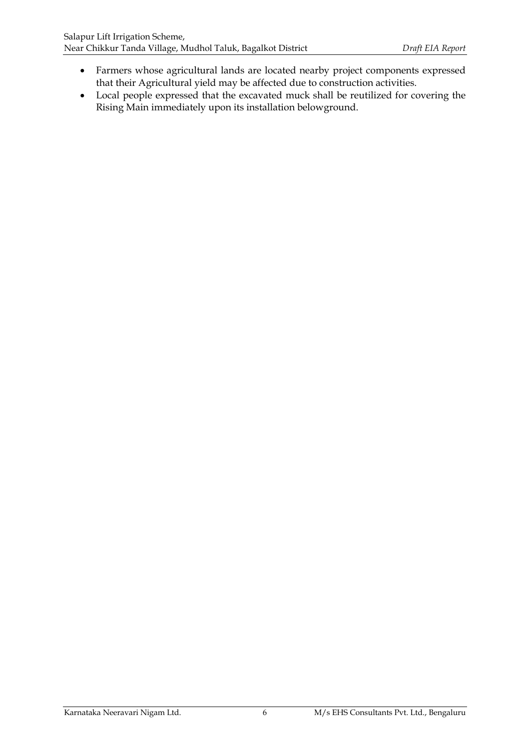- Farmers whose agricultural lands are located nearby project components expressed that their Agricultural yield may be affected due to construction activities.
- Local people expressed that the excavated muck shall be reutilized for covering the Rising Main immediately upon its installation belowground.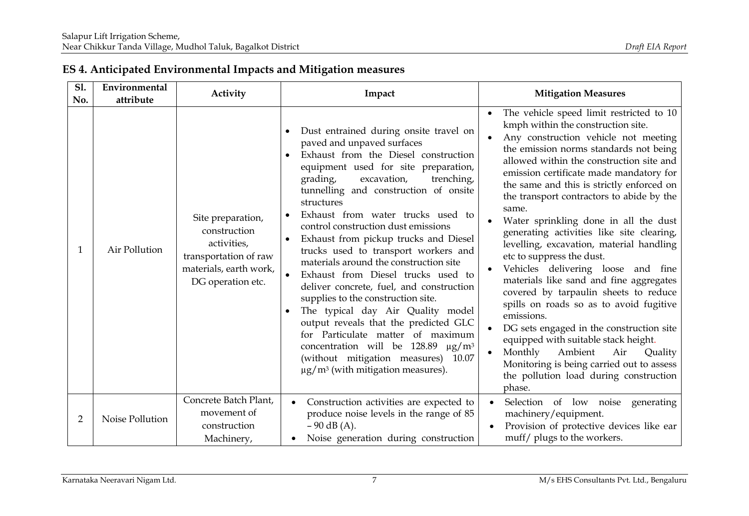| <b>S1.</b><br>No. | Environmental<br>attribute | Activity                                                                                                                 | Impact                                                                                                                                                                                                                                                                                                                                                                                                                                                                                                                                                                                                                                                                                                                                                                                                                                                             | <b>Mitigation Measures</b>                                                                                                                                                                                                                                                                                                                                                                                                                                                                                                                                                                                                                                                                                                                                                                                                                                                                                                                             |
|-------------------|----------------------------|--------------------------------------------------------------------------------------------------------------------------|--------------------------------------------------------------------------------------------------------------------------------------------------------------------------------------------------------------------------------------------------------------------------------------------------------------------------------------------------------------------------------------------------------------------------------------------------------------------------------------------------------------------------------------------------------------------------------------------------------------------------------------------------------------------------------------------------------------------------------------------------------------------------------------------------------------------------------------------------------------------|--------------------------------------------------------------------------------------------------------------------------------------------------------------------------------------------------------------------------------------------------------------------------------------------------------------------------------------------------------------------------------------------------------------------------------------------------------------------------------------------------------------------------------------------------------------------------------------------------------------------------------------------------------------------------------------------------------------------------------------------------------------------------------------------------------------------------------------------------------------------------------------------------------------------------------------------------------|
| 1                 | Air Pollution              | Site preparation,<br>construction<br>activities,<br>transportation of raw<br>materials, earth work,<br>DG operation etc. | Dust entrained during onsite travel on<br>paved and unpaved surfaces<br>Exhaust from the Diesel construction<br>equipment used for site preparation,<br>excavation,<br>grading,<br>trenching,<br>tunnelling and construction of onsite<br>structures<br>Exhaust from water trucks used to<br>control construction dust emissions<br>Exhaust from pickup trucks and Diesel<br>trucks used to transport workers and<br>materials around the construction site<br>Exhaust from Diesel trucks used to<br>$\bullet$<br>deliver concrete, fuel, and construction<br>supplies to the construction site.<br>The typical day Air Quality model<br>output reveals that the predicted GLC<br>for Particulate matter of maximum<br>concentration will be 128.89 µg/m <sup>3</sup><br>(without mitigation measures) 10.07<br>$\mu$ g/m <sup>3</sup> (with mitigation measures). | The vehicle speed limit restricted to 10<br>$\bullet$<br>kmph within the construction site.<br>Any construction vehicle not meeting<br>the emission norms standards not being<br>allowed within the construction site and<br>emission certificate made mandatory for<br>the same and this is strictly enforced on<br>the transport contractors to abide by the<br>same.<br>Water sprinkling done in all the dust<br>generating activities like site clearing,<br>levelling, excavation, material handling<br>etc to suppress the dust.<br>Vehicles delivering loose and fine<br>materials like sand and fine aggregates<br>covered by tarpaulin sheets to reduce<br>spills on roads so as to avoid fugitive<br>emissions.<br>DG sets engaged in the construction site<br>equipped with suitable stack height.<br>Monthly<br>Ambient<br>Air<br>Quality<br>Monitoring is being carried out to assess<br>the pollution load during construction<br>phase. |
| $\overline{2}$    | Noise Pollution            | Concrete Batch Plant,<br>movement of<br>construction<br>Machinery,                                                       | Construction activities are expected to<br>produce noise levels in the range of 85<br>$-90$ dB (A).<br>Noise generation during construction                                                                                                                                                                                                                                                                                                                                                                                                                                                                                                                                                                                                                                                                                                                        | Selection of low noise<br>generating<br>machinery/equipment.<br>Provision of protective devices like ear<br>muff/ plugs to the workers.                                                                                                                                                                                                                                                                                                                                                                                                                                                                                                                                                                                                                                                                                                                                                                                                                |

# **ES 4. Anticipated Environmental Impacts and Mitigation measures**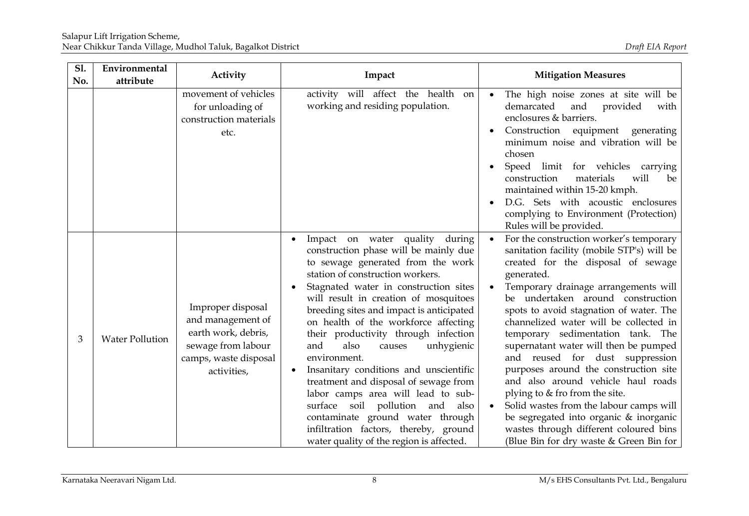| <b>S1.</b><br>No. | Environmental<br>attribute | Activity                                                                                                                    | Impact                                                                                                                                                                                                                                                                                                                                                                                                                                                                                                                                                                                                                                                                                                        | <b>Mitigation Measures</b>                                                                                                                                                                                                                                                                                                                                                                                                                                                                                                                                                                                                                                                                                              |
|-------------------|----------------------------|-----------------------------------------------------------------------------------------------------------------------------|---------------------------------------------------------------------------------------------------------------------------------------------------------------------------------------------------------------------------------------------------------------------------------------------------------------------------------------------------------------------------------------------------------------------------------------------------------------------------------------------------------------------------------------------------------------------------------------------------------------------------------------------------------------------------------------------------------------|-------------------------------------------------------------------------------------------------------------------------------------------------------------------------------------------------------------------------------------------------------------------------------------------------------------------------------------------------------------------------------------------------------------------------------------------------------------------------------------------------------------------------------------------------------------------------------------------------------------------------------------------------------------------------------------------------------------------------|
|                   |                            | movement of vehicles<br>for unloading of<br>construction materials<br>etc.                                                  | activity will affect the health on<br>working and residing population.                                                                                                                                                                                                                                                                                                                                                                                                                                                                                                                                                                                                                                        | The high noise zones at site will be<br>demarcated<br>and<br>provided<br>with<br>enclosures & barriers.<br>Construction equipment generating<br>minimum noise and vibration will be<br>chosen<br>Speed limit for vehicles carrying<br>construction<br>materials<br>will<br>be<br>maintained within 15-20 kmph.<br>D.G. Sets with acoustic enclosures<br>complying to Environment (Protection)<br>Rules will be provided.                                                                                                                                                                                                                                                                                                |
| 3                 | <b>Water Pollution</b>     | Improper disposal<br>and management of<br>earth work, debris,<br>sewage from labour<br>camps, waste disposal<br>activities, | Impact on water quality during<br>construction phase will be mainly due<br>to sewage generated from the work<br>station of construction workers.<br>Stagnated water in construction sites<br>will result in creation of mosquitoes<br>breeding sites and impact is anticipated<br>on health of the workforce affecting<br>their productivity through infection<br>unhygienic<br>and<br>also<br>causes<br>environment.<br>Insanitary conditions and unscientific<br>treatment and disposal of sewage from<br>labor camps area will lead to sub-<br>surface soil pollution and<br>also<br>contaminate ground water through<br>infiltration factors, thereby, ground<br>water quality of the region is affected. | For the construction worker's temporary<br>sanitation facility (mobile STP's) will be<br>created for the disposal of sewage<br>generated.<br>Temporary drainage arrangements will<br>be undertaken around construction<br>spots to avoid stagnation of water. The<br>channelized water will be collected in<br>temporary sedimentation tank. The<br>supernatant water will then be pumped<br>and reused for dust suppression<br>purposes around the construction site<br>and also around vehicle haul roads<br>plying to & fro from the site.<br>Solid wastes from the labour camps will<br>be segregated into organic & inorganic<br>wastes through different coloured bins<br>(Blue Bin for dry waste & Green Bin for |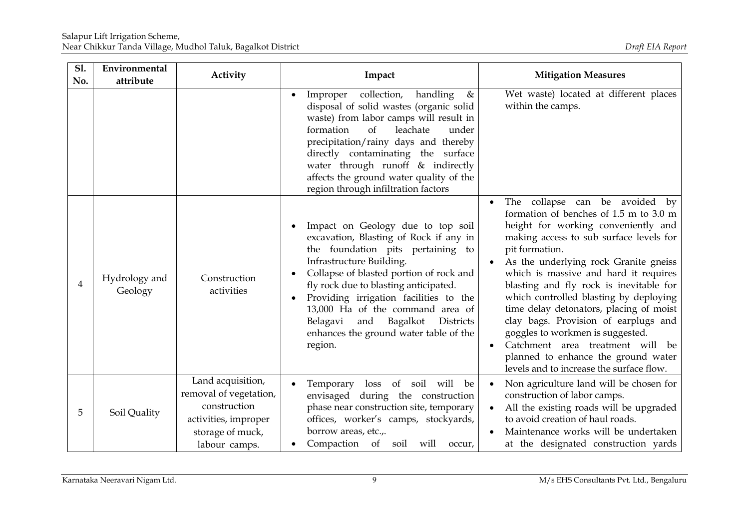| <b>S1.</b><br>No. | Environmental<br>attribute | Activity                                                                                                                 | Impact                                                                                                                                                                                                                                                                                                                                                                                                              | <b>Mitigation Measures</b>                                                                                                                                                                                                                                                                                                                                                                                                                                                                                                                                                                        |
|-------------------|----------------------------|--------------------------------------------------------------------------------------------------------------------------|---------------------------------------------------------------------------------------------------------------------------------------------------------------------------------------------------------------------------------------------------------------------------------------------------------------------------------------------------------------------------------------------------------------------|---------------------------------------------------------------------------------------------------------------------------------------------------------------------------------------------------------------------------------------------------------------------------------------------------------------------------------------------------------------------------------------------------------------------------------------------------------------------------------------------------------------------------------------------------------------------------------------------------|
|                   |                            |                                                                                                                          | Improper collection, handling<br>&<br>$\bullet$<br>disposal of solid wastes (organic solid<br>waste) from labor camps will result in<br>formation<br><sub>of</sub><br>leachate<br>under<br>precipitation/rainy days and thereby<br>directly contaminating the surface<br>water through runoff & indirectly<br>affects the ground water quality of the<br>region through infiltration factors                        | Wet waste) located at different places<br>within the camps.                                                                                                                                                                                                                                                                                                                                                                                                                                                                                                                                       |
| 4                 | Hydrology and<br>Geology   | Construction<br>activities                                                                                               | Impact on Geology due to top soil<br>excavation, Blasting of Rock if any in<br>the foundation pits pertaining to<br>Infrastructure Building.<br>Collapse of blasted portion of rock and<br>fly rock due to blasting anticipated.<br>Providing irrigation facilities to the<br>13,000 Ha of the command area of<br>Belagavi<br>and Bagalkot<br><b>Districts</b><br>enhances the ground water table of the<br>region. | The collapse can be avoided by<br>formation of benches of 1.5 m to 3.0 m<br>height for working conveniently and<br>making access to sub surface levels for<br>pit formation.<br>As the underlying rock Granite gneiss<br>which is massive and hard it requires<br>blasting and fly rock is inevitable for<br>which controlled blasting by deploying<br>time delay detonators, placing of moist<br>clay bags. Provision of earplugs and<br>goggles to workmen is suggested.<br>Catchment area treatment will be<br>planned to enhance the ground water<br>levels and to increase the surface flow. |
| 5                 | Soil Quality               | Land acquisition,<br>removal of vegetation,<br>construction<br>activities, improper<br>storage of muck,<br>labour camps. | Temporary loss of soil will<br>be<br>envisaged during the construction<br>phase near construction site, temporary<br>offices, worker's camps, stockyards,<br>borrow areas, etc.,.<br>Compaction of soil will occur,                                                                                                                                                                                                 | Non agriculture land will be chosen for<br>construction of labor camps.<br>All the existing roads will be upgraded<br>to avoid creation of haul roads.<br>Maintenance works will be undertaken<br>at the designated construction yards                                                                                                                                                                                                                                                                                                                                                            |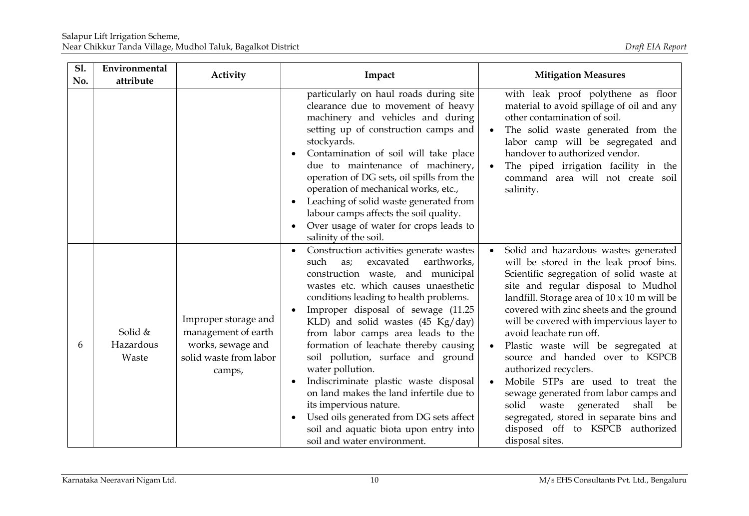| <b>S1.</b><br>No. | Environmental<br>attribute    | Activity                                                                                             | Impact                                                                                                                                                                                                                                                                                                                                                                                                                                                                                                                                                                                                                                                          | <b>Mitigation Measures</b>                                                                                                                                                                                                                                                                                                                                                                                                                                                                                                                                                                                                                                           |
|-------------------|-------------------------------|------------------------------------------------------------------------------------------------------|-----------------------------------------------------------------------------------------------------------------------------------------------------------------------------------------------------------------------------------------------------------------------------------------------------------------------------------------------------------------------------------------------------------------------------------------------------------------------------------------------------------------------------------------------------------------------------------------------------------------------------------------------------------------|----------------------------------------------------------------------------------------------------------------------------------------------------------------------------------------------------------------------------------------------------------------------------------------------------------------------------------------------------------------------------------------------------------------------------------------------------------------------------------------------------------------------------------------------------------------------------------------------------------------------------------------------------------------------|
|                   |                               |                                                                                                      | particularly on haul roads during site<br>clearance due to movement of heavy<br>machinery and vehicles and during<br>setting up of construction camps and<br>stockyards.<br>Contamination of soil will take place<br>due to maintenance of machinery,<br>operation of DG sets, oil spills from the<br>operation of mechanical works, etc.,<br>Leaching of solid waste generated from<br>labour camps affects the soil quality.<br>Over usage of water for crops leads to<br>salinity of the soil.                                                                                                                                                               | with leak proof polythene as floor<br>material to avoid spillage of oil and any<br>other contamination of soil.<br>The solid waste generated from the<br>labor camp will be segregated and<br>handover to authorized vendor.<br>The piped irrigation facility in the<br>command area will not create soil<br>salinity.                                                                                                                                                                                                                                                                                                                                               |
| 6                 | Solid &<br>Hazardous<br>Waste | Improper storage and<br>management of earth<br>works, sewage and<br>solid waste from labor<br>camps, | Construction activities generate wastes<br>earthworks,<br>excavated<br>such<br>as;<br>construction waste, and municipal<br>wastes etc. which causes unaesthetic<br>conditions leading to health problems.<br>Improper disposal of sewage (11.25<br>KLD) and solid wastes (45 Kg/day)<br>from labor camps area leads to the<br>formation of leachate thereby causing<br>soil pollution, surface and ground<br>water pollution.<br>Indiscriminate plastic waste disposal<br>on land makes the land infertile due to<br>its impervious nature.<br>Used oils generated from DG sets affect<br>soil and aquatic biota upon entry into<br>soil and water environment. | Solid and hazardous wastes generated<br>will be stored in the leak proof bins.<br>Scientific segregation of solid waste at<br>site and regular disposal to Mudhol<br>landfill. Storage area of $10 \times 10$ m will be<br>covered with zinc sheets and the ground<br>will be covered with impervious layer to<br>avoid leachate run off.<br>Plastic waste will be segregated at<br>source and handed over to KSPCB<br>authorized recyclers.<br>Mobile STPs are used to treat the<br>sewage generated from labor camps and<br>solid waste generated<br>shall<br>be<br>segregated, stored in separate bins and<br>disposed off to KSPCB authorized<br>disposal sites. |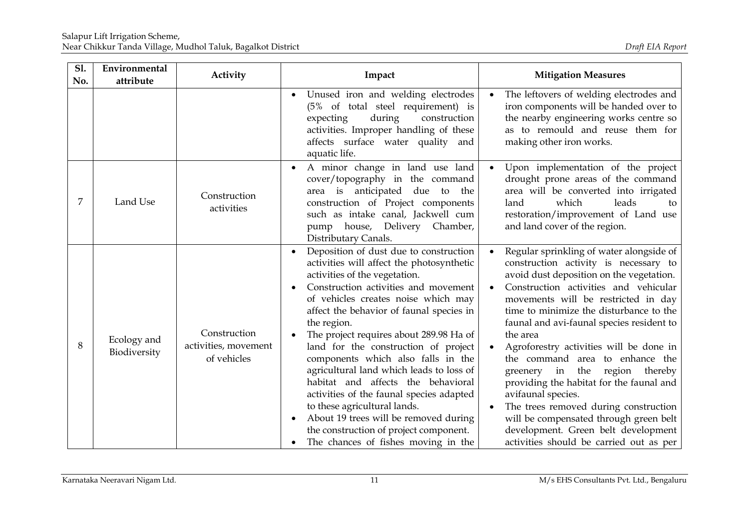| <b>S1.</b><br>No. | Environmental<br>attribute  | Activity                                            | Impact                                                                                                                                                                                                                                                                                                                                                                                                                                                                                                                                                                                                                                                                          | <b>Mitigation Measures</b>                                                                                                                                                                                                                                                                                                                                                                                                                                                                                                                                                                                                                                               |
|-------------------|-----------------------------|-----------------------------------------------------|---------------------------------------------------------------------------------------------------------------------------------------------------------------------------------------------------------------------------------------------------------------------------------------------------------------------------------------------------------------------------------------------------------------------------------------------------------------------------------------------------------------------------------------------------------------------------------------------------------------------------------------------------------------------------------|--------------------------------------------------------------------------------------------------------------------------------------------------------------------------------------------------------------------------------------------------------------------------------------------------------------------------------------------------------------------------------------------------------------------------------------------------------------------------------------------------------------------------------------------------------------------------------------------------------------------------------------------------------------------------|
|                   |                             |                                                     | Unused iron and welding electrodes<br>(5% of total steel requirement) is<br>during<br>expecting<br>construction<br>activities. Improper handling of these<br>affects surface water quality and<br>aquatic life.                                                                                                                                                                                                                                                                                                                                                                                                                                                                 | The leftovers of welding electrodes and<br>iron components will be handed over to<br>the nearby engineering works centre so<br>as to remould and reuse them for<br>making other iron works.                                                                                                                                                                                                                                                                                                                                                                                                                                                                              |
| 7                 | Land Use                    | Construction<br>activities                          | A minor change in land use land<br>cover/topography in the command<br>area is anticipated due to the<br>construction of Project components<br>such as intake canal, Jackwell cum<br>house, Delivery Chamber,<br>pump<br>Distributary Canals.                                                                                                                                                                                                                                                                                                                                                                                                                                    | Upon implementation of the project<br>drought prone areas of the command<br>area will be converted into irrigated<br>which<br>leads<br>land<br>to<br>restoration/improvement of Land use<br>and land cover of the region.                                                                                                                                                                                                                                                                                                                                                                                                                                                |
| 8                 | Ecology and<br>Biodiversity | Construction<br>activities, movement<br>of vehicles | Deposition of dust due to construction<br>activities will affect the photosynthetic<br>activities of the vegetation.<br>Construction activities and movement<br>of vehicles creates noise which may<br>affect the behavior of faunal species in<br>the region.<br>The project requires about 289.98 Ha of<br>land for the construction of project<br>components which also falls in the<br>agricultural land which leads to loss of<br>habitat and affects the behavioral<br>activities of the faunal species adapted<br>to these agricultural lands.<br>About 19 trees will be removed during<br>the construction of project component.<br>The chances of fishes moving in the | Regular sprinkling of water alongside of<br>construction activity is necessary to<br>avoid dust deposition on the vegetation.<br>Construction activities and vehicular<br>movements will be restricted in day<br>time to minimize the disturbance to the<br>faunal and avi-faunal species resident to<br>the area<br>Agroforestry activities will be done in<br>the command area to enhance the<br>greenery in the region thereby<br>providing the habitat for the faunal and<br>avifaunal species.<br>The trees removed during construction<br>will be compensated through green belt<br>development. Green belt development<br>activities should be carried out as per |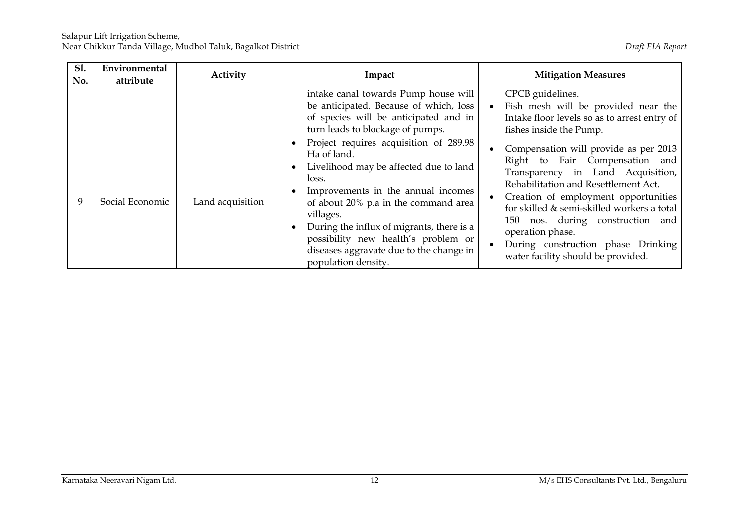| <b>S1.</b><br>No. | Environmental<br>attribute | Activity         | Impact                                                                                                                                                                                                                                                                                                                                                                 | <b>Mitigation Measures</b>                                                                                                                                                                                                                                                                                                                                                     |
|-------------------|----------------------------|------------------|------------------------------------------------------------------------------------------------------------------------------------------------------------------------------------------------------------------------------------------------------------------------------------------------------------------------------------------------------------------------|--------------------------------------------------------------------------------------------------------------------------------------------------------------------------------------------------------------------------------------------------------------------------------------------------------------------------------------------------------------------------------|
|                   |                            |                  | intake canal towards Pump house will<br>be anticipated. Because of which, loss<br>of species will be anticipated and in<br>turn leads to blockage of pumps.                                                                                                                                                                                                            | CPCB guidelines.<br>Fish mesh will be provided near the<br>Intake floor levels so as to arrest entry of<br>fishes inside the Pump.                                                                                                                                                                                                                                             |
| 9                 | Social Economic            | Land acquisition | Project requires acquisition of 289.98<br>Ha of land.<br>Livelihood may be affected due to land<br>$\bullet$<br>loss.<br>Improvements in the annual incomes<br>of about 20% p.a in the command area<br>villages.<br>During the influx of migrants, there is a<br>possibility new health's problem or<br>diseases aggravate due to the change in<br>population density. | Compensation will provide as per 2013<br>Right to Fair Compensation and<br>Transparency in Land Acquisition,<br>Rehabilitation and Resettlement Act.<br>Creation of employment opportunities<br>for skilled & semi-skilled workers a total<br>150 nos. during construction and<br>operation phase.<br>During construction phase Drinking<br>water facility should be provided. |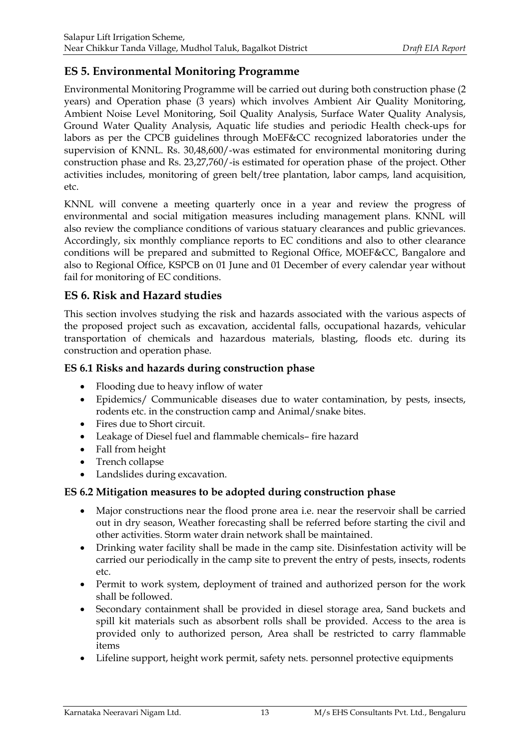# **ES 5. Environmental Monitoring Programme**

Environmental Monitoring Programme will be carried out during both construction phase (2 years) and Operation phase (3 years) which involves Ambient Air Quality Monitoring, Ambient Noise Level Monitoring, Soil Quality Analysis, Surface Water Quality Analysis, Ground Water Quality Analysis, Aquatic life studies and periodic Health check-ups for labors as per the CPCB guidelines through MoEF&CC recognized laboratories under the supervision of KNNL. Rs. 30,48,600/-was estimated for environmental monitoring during construction phase and Rs. 23,27,760/-is estimated for operation phase of the project. Other activities includes, monitoring of green belt/tree plantation, labor camps, land acquisition, etc.

KNNL will convene a meeting quarterly once in a year and review the progress of environmental and social mitigation measures including management plans. KNNL will also review the compliance conditions of various statuary clearances and public grievances. Accordingly, six monthly compliance reports to EC conditions and also to other clearance conditions will be prepared and submitted to Regional Office, MOEF&CC, Bangalore and also to Regional Office, KSPCB on 01 June and 01 December of every calendar year without fail for monitoring of EC conditions.

# **ES 6. Risk and Hazard studies**

This section involves studying the risk and hazards associated with the various aspects of the proposed project such as excavation, accidental falls, occupational hazards, vehicular transportation of chemicals and hazardous materials, blasting, floods etc. during its construction and operation phase.

### **ES 6.1 Risks and hazards during construction phase**

- Flooding due to heavy inflow of water
- Epidemics/ Communicable diseases due to water contamination, by pests, insects, rodents etc. in the construction camp and Animal/snake bites.
- Fires due to Short circuit.
- Leakage of Diesel fuel and flammable chemicals– fire hazard
- Fall from height
- Trench collapse
- Landslides during excavation.

### **ES 6.2 Mitigation measures to be adopted during construction phase**

- Major constructions near the flood prone area i.e. near the reservoir shall be carried out in dry season, Weather forecasting shall be referred before starting the civil and other activities. Storm water drain network shall be maintained.
- Drinking water facility shall be made in the camp site. Disinfestation activity will be carried our periodically in the camp site to prevent the entry of pests, insects, rodents etc.
- Permit to work system, deployment of trained and authorized person for the work shall be followed.
- Secondary containment shall be provided in diesel storage area, Sand buckets and spill kit materials such as absorbent rolls shall be provided. Access to the area is provided only to authorized person, Area shall be restricted to carry flammable items
- Lifeline support, height work permit, safety nets. personnel protective equipments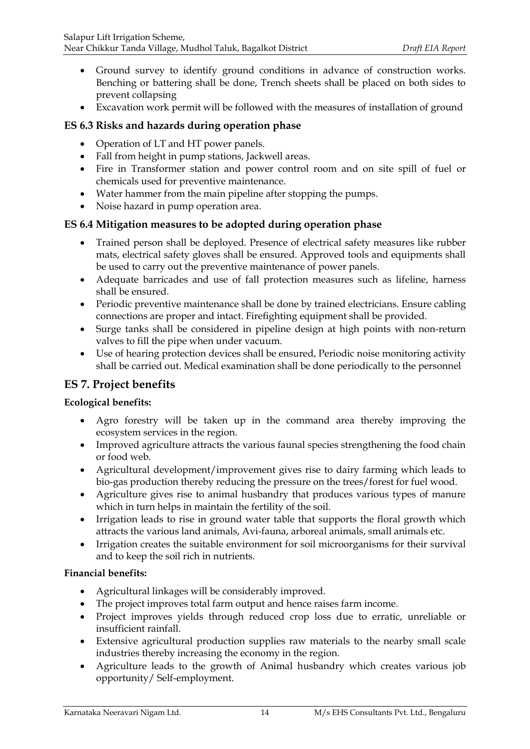- Ground survey to identify ground conditions in advance of construction works. Benching or battering shall be done, Trench sheets shall be placed on both sides to prevent collapsing
- Excavation work permit will be followed with the measures of installation of ground

### **ES 6.3 Risks and hazards during operation phase**

- Operation of LT and HT power panels.
- Fall from height in pump stations, Jackwell areas.
- Fire in Transformer station and power control room and on site spill of fuel or chemicals used for preventive maintenance.
- Water hammer from the main pipeline after stopping the pumps.
- Noise hazard in pump operation area.

### **ES 6.4 Mitigation measures to be adopted during operation phase**

- Trained person shall be deployed. Presence of electrical safety measures like rubber mats, electrical safety gloves shall be ensured. Approved tools and equipments shall be used to carry out the preventive maintenance of power panels.
- Adequate barricades and use of fall protection measures such as lifeline, harness shall be ensured.
- Periodic preventive maintenance shall be done by trained electricians. Ensure cabling connections are proper and intact. Firefighting equipment shall be provided.
- Surge tanks shall be considered in pipeline design at high points with non-return valves to fill the pipe when under vacuum.
- Use of hearing protection devices shall be ensured, Periodic noise monitoring activity shall be carried out. Medical examination shall be done periodically to the personnel

# **ES 7. Project benefits**

### **Ecological benefits:**

- Agro forestry will be taken up in the command area thereby improving the ecosystem services in the region.
- Improved agriculture attracts the various faunal species strengthening the food chain or food web.
- Agricultural development/improvement gives rise to dairy farming which leads to bio-gas production thereby reducing the pressure on the trees/forest for fuel wood.
- Agriculture gives rise to animal husbandry that produces various types of manure which in turn helps in maintain the fertility of the soil.
- Irrigation leads to rise in ground water table that supports the floral growth which attracts the various land animals, Avi-fauna, arboreal animals, small animals etc.
- Irrigation creates the suitable environment for soil microorganisms for their survival and to keep the soil rich in nutrients.

### **Financial benefits:**

- Agricultural linkages will be considerably improved.
- The project improves total farm output and hence raises farm income.
- Project improves yields through reduced crop loss due to erratic, unreliable or insufficient rainfall.
- Extensive agricultural production supplies raw materials to the nearby small scale industries thereby increasing the economy in the region.
- Agriculture leads to the growth of Animal husbandry which creates various job opportunity/ Self-employment.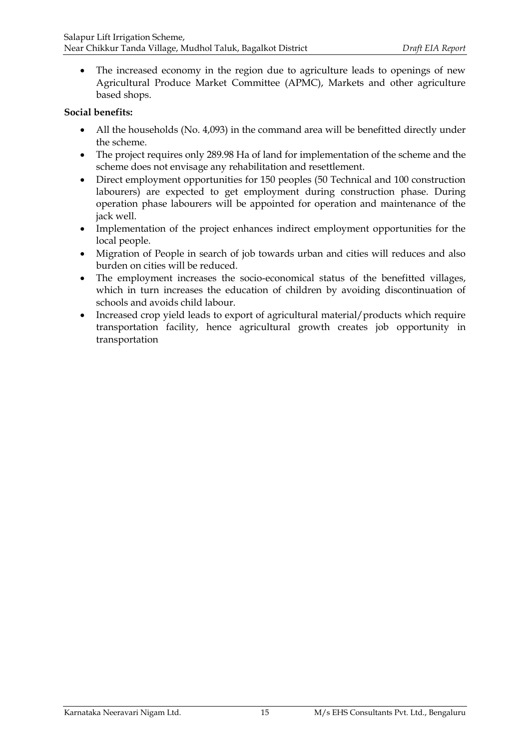The increased economy in the region due to agriculture leads to openings of new Agricultural Produce Market Committee (APMC), Markets and other agriculture based shops.

#### **Social benefits:**

- All the households (No. 4,093) in the command area will be benefitted directly under the scheme.
- The project requires only 289.98 Ha of land for implementation of the scheme and the scheme does not envisage any rehabilitation and resettlement.
- Direct employment opportunities for 150 peoples (50 Technical and 100 construction labourers) are expected to get employment during construction phase. During operation phase labourers will be appointed for operation and maintenance of the jack well.
- Implementation of the project enhances indirect employment opportunities for the local people.
- Migration of People in search of job towards urban and cities will reduces and also burden on cities will be reduced.
- The employment increases the socio-economical status of the benefitted villages, which in turn increases the education of children by avoiding discontinuation of schools and avoids child labour.
- Increased crop yield leads to export of agricultural material/products which require transportation facility, hence agricultural growth creates job opportunity in transportation